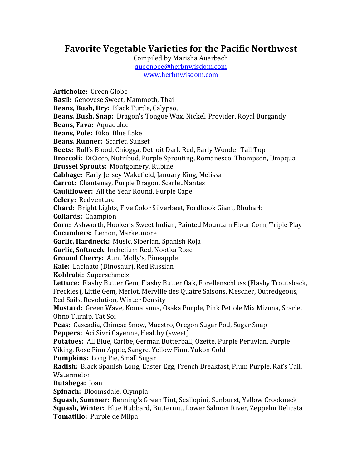## Favorite Vegetable Varieties for the Pacific Northwest

Compiled by Marisha Auerbach queenbee@herbnwisdom.com www.herbnwisdom.com

**Artichoke:** Green Globe **Basil:** Genovese Sweet, Mammoth, Thai **Beans, Bush, Drv:** Black Turtle, Calypso, **Beans, Bush, Snap:** Dragon's Tongue Wax, Nickel, Provider, Royal Burgandy **Beans, Fava: Aquadulce Beans, Pole:** Biko, Blue Lake **Beans, Runner: Scarlet, Sunset Beets:** Bull's Blood, Chiogga, Detroit Dark Red, Early Wonder Tall Top **Broccoli:** DiCicco, Nutribud, Purple Sprouting, Romanesco, Thompson, Umpqua **Brussel Sprouts: Montgomery, Rubine Cabbage:** Early Jersey Wakefield, January King, Melissa **Carrot:** Chantenay, Purple Dragon, Scarlet Nantes **Cauliflower:** All the Year Round, Purple Cape **Celery: Redventure Chard:** Bright Lights, Five Color Silverbeet, Fordhook Giant, Rhubarb **Collards:** Champion **Corn:** Ashworth, Hooker's Sweet Indian, Painted Mountain Flour Corn, Triple Play **Cucumbers:** Lemon, Marketmore Garlic, Hardneck: Music, Siberian, Spanish Roja **Garlic, Softneck:** Inchelium Red, Nootka Rose **Ground Cherry:** Aunt Molly's, Pineapple Kale: Lacinato (Dinosaur), Red Russian **Kohlrabi:** Superschmelz Lettuce: Flashy Butter Gem, Flashy Butter Oak, Forellenschluss (Flashy Troutsback, Freckles), Little Gem, Merlot, Merville des Quatre Saisons, Mescher, Outredgeous, Red Sails, Revolution, Winter Density **Mustard:** Green Wave, Komatsuna, Osaka Purple, Pink Petiole Mix Mizuna, Scarlet Ohno Turnip, Tat Soi Peas: Cascadia, Chinese Snow, Maestro, Oregon Sugar Pod, Sugar Snap **Peppers:** Aci Sivri Cayenne, Healthy (sweet) Potatoes: All Blue, Caribe, German Butterball, Ozette, Purple Peruvian, Purple Viking, Rose Finn Apple, Sangre, Yellow Finn, Yukon Gold **Pumpkins:** Long Pie, Small Sugar **Radish:** Black Spanish Long, Easter Egg, French Breakfast, Plum Purple, Rat's Tail, Watermelon **Rutabega:** Joan **Spinach:** Bloomsdale, Olympia **Squash, Summer:** Benning's Green Tint, Scallopini, Sunburst, Yellow Crookneck **Squash, Winter:** Blue Hubbard, Butternut, Lower Salmon River, Zeppelin Delicata **Tomatillo:** Purple de Milpa